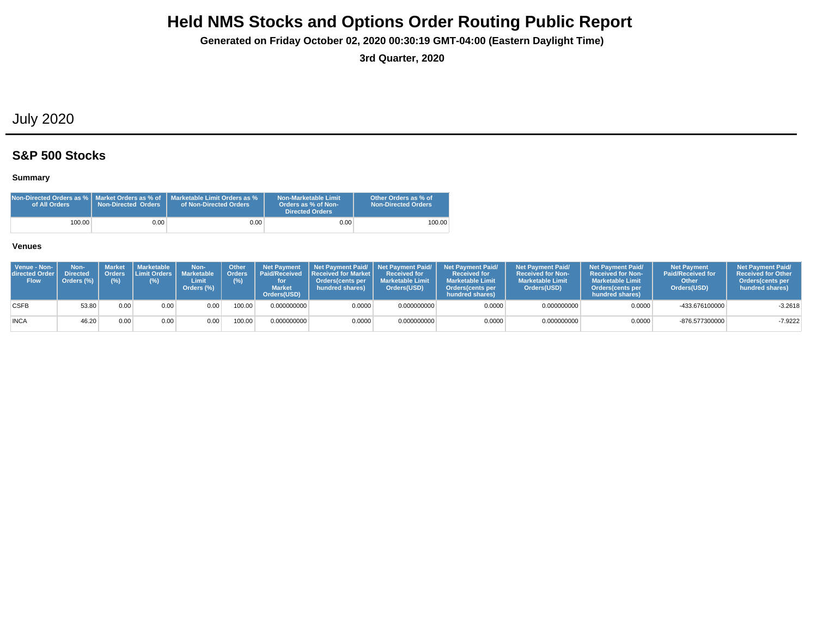**Generated on Friday October 02, 2020 00:30:19 GMT-04:00 (Eastern Daylight Time)**

**3rd Quarter, 2020**

## July 2020

### **S&P 500 Stocks**

### **Summary**

| Non-Directed Orders as %   Market Orders as % of<br>of All Orders | <b>Non-Directed Orders</b> | Marketable Limit Orders as %<br>of Non-Directed Orders | Non-Marketable Limit<br>Orders as % of Non-<br>Directed Orders | Other Orders as % of<br><b>Non-Directed Orders</b> |
|-------------------------------------------------------------------|----------------------------|--------------------------------------------------------|----------------------------------------------------------------|----------------------------------------------------|
| 100.00                                                            | 9.00 <sub>1</sub>          | $0.00\,$                                               | 0.00                                                           | 100.00                                             |

| Venue - Non-<br>directed Order<br><b>Flow</b> | Non-<br>Directed<br>Orders (%) | Market<br><b>Orders</b><br>(%) | Marketable<br><b>ILimit Orders   Marketable A</b><br>(%) | Non-<br>Limit<br>Orders (%) | <b>Other</b><br><b>Orders</b><br>(%) | <b>Market</b><br>Orders(USD) | Net Payment   Net Payment Paid/   Net Payment Paid/  <br><b>I</b> Paid/Received <b>Received for Market</b> I<br>Orders(cents per<br>hundred shares) | <b>Received for</b><br><b>Marketable Limit</b><br>Orders(USD) | <b>Net Payment Paid/</b><br><b>Received for</b><br><b>Marketable Limit</b><br>Orders(cents per<br>hundred shares) | <b>Net Payment Paid/</b><br><b>Received for Non-</b><br><b>Marketable Limit</b><br>Orders(USD) | <b>Net Payment Paid/</b><br><b>Received for Non-</b><br><b>Marketable Limit</b><br>Orders (cents per<br>hundred shares) | <b>Net Payment</b><br><b>Paid/Received for</b><br>Other<br>Orders(USD) | <b>Net Payment Paid/</b><br><b>Received for Other</b><br><b>Orders</b> (cents per<br>hundred shares) |
|-----------------------------------------------|--------------------------------|--------------------------------|----------------------------------------------------------|-----------------------------|--------------------------------------|------------------------------|-----------------------------------------------------------------------------------------------------------------------------------------------------|---------------------------------------------------------------|-------------------------------------------------------------------------------------------------------------------|------------------------------------------------------------------------------------------------|-------------------------------------------------------------------------------------------------------------------------|------------------------------------------------------------------------|------------------------------------------------------------------------------------------------------|
| <b>CSFB</b>                                   | 53.80                          | 0.00.                          | 0.00                                                     | 0.00                        | 100.00                               | 0.000000000                  | 0.0000                                                                                                                                              | 0.000000000                                                   | 0.0000                                                                                                            | 0.000000000                                                                                    | 0.0000                                                                                                                  | -433.676100000                                                         | $-3.2618$                                                                                            |
| <b>INCA</b>                                   | 46.20                          | 0.00 <sub>1</sub>              | 0.00                                                     | 0.00                        | 100.00                               | 0.000000000                  | 0.0000                                                                                                                                              | 0.000000000                                                   | 0.0000                                                                                                            | 0.000000000                                                                                    | 0.0000                                                                                                                  | -876.577300000                                                         | $-7.9222$                                                                                            |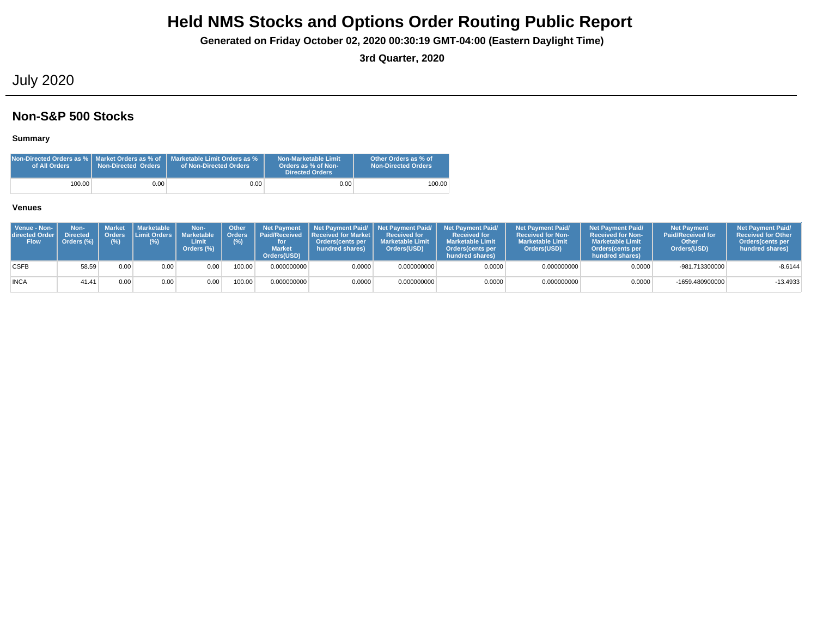**Generated on Friday October 02, 2020 00:30:19 GMT-04:00 (Eastern Daylight Time)**

**3rd Quarter, 2020**

## July 2020

### **Non-S&P 500 Stocks**

### **Summary**

| of All Orders | <b>Non-Directed Orders</b> | INon-Directed Orders as % I_Market Orders as % of _I_Marketable Limit Orders as %<br>of Non-Directed Orders | Non-Marketable Limit<br>Orders as % of Non-<br>Directed Orders | Other Orders as % of<br><b>Non-Directed Orders</b> |
|---------------|----------------------------|-------------------------------------------------------------------------------------------------------------|----------------------------------------------------------------|----------------------------------------------------|
| 100.00        | 0.00                       | 0.00 <sub>1</sub>                                                                                           | 0.00                                                           | 100.00                                             |

| Venue - Non-<br>directed Order<br><b>Flow</b> | Non-<br><b>Directed</b><br>Orders (%) | (%)  | Market Marketable<br>Orders Limit Orders L<br>(%) | Non-<br><b>Marketable</b><br>Limit<br>Orders (%) | Other<br><b>Orders</b><br>$(\%)$ | <b>Net Payment</b><br><b>Market</b><br>Orders(USD) | <b>Paid/Received Received for Market  </b><br>Orders(cents per<br>hundred shares) | <b>Received for</b><br><b>Marketable Limit</b><br>Orders(USD) | Net Payment Paid/   Net Payment Paid/   Net Payment Paid/<br><b>Received for</b><br><b>Marketable Limit</b><br>Orders(cents per<br>hundred shares) | <b>Net Payment Paid/</b><br><b>Received for Non-</b><br><b>Marketable Limit</b><br>Orders(USD) | <b>Net Payment Paid/</b><br><b>Received for Non-</b><br><b>Marketable Limit</b><br>Orders cents per<br>hundred shares) | <b>Net Payment</b><br><b>Paid/Received for</b><br>Other<br>Orders(USD) | <b>Net Payment Paid/</b><br><b>Received for Other</b><br><b>Orders</b> (cents per<br>hundred shares) |
|-----------------------------------------------|---------------------------------------|------|---------------------------------------------------|--------------------------------------------------|----------------------------------|----------------------------------------------------|-----------------------------------------------------------------------------------|---------------------------------------------------------------|----------------------------------------------------------------------------------------------------------------------------------------------------|------------------------------------------------------------------------------------------------|------------------------------------------------------------------------------------------------------------------------|------------------------------------------------------------------------|------------------------------------------------------------------------------------------------------|
| <b>CSFB</b>                                   | 58.59                                 | 0.00 | 0.00                                              | 0.00                                             | 100.00                           | 0.000000000                                        | 0.0000                                                                            | 0.000000000                                                   | 0.0000                                                                                                                                             | 0.000000000                                                                                    | 0.0000                                                                                                                 | -981.713300000                                                         | $-8.6144$                                                                                            |
| <b>INCA</b>                                   | 41.41                                 | 0.00 | 0.00                                              | 0.00                                             | 100.00                           | 0.000000000                                        | 0.0000                                                                            | 0.000000000                                                   | 0.0000                                                                                                                                             | 0.000000000                                                                                    | 0.0000                                                                                                                 | -1659.480900000                                                        | $-13.4933$                                                                                           |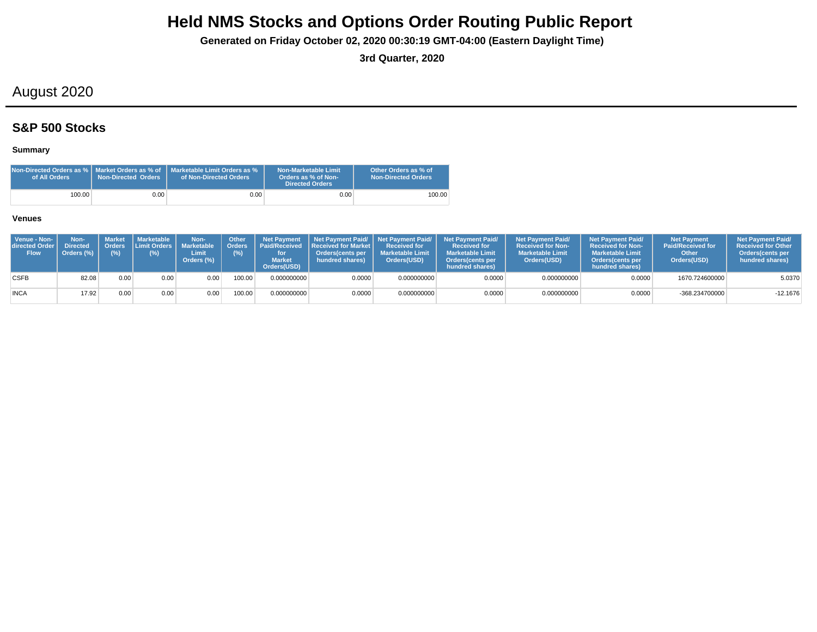**Generated on Friday October 02, 2020 00:30:19 GMT-04:00 (Eastern Daylight Time)**

**3rd Quarter, 2020**

## August 2020

### **S&P 500 Stocks**

### **Summary**

| Non-Directed Orders as %   Market Orders as % of<br>of All Orders | <b>Non-Directed Orders</b> | Marketable Limit Orders as %<br>of Non-Directed Orders | Non-Marketable Limit<br>Orders as % of Non-<br><b>Directed Orders</b> | Other Orders as % of<br><b>Non-Directed Orders</b> |
|-------------------------------------------------------------------|----------------------------|--------------------------------------------------------|-----------------------------------------------------------------------|----------------------------------------------------|
| 100.00                                                            | 0.001                      | 0.00                                                   | 0.00                                                                  | 100.00                                             |

| Venue - Non-<br>directed Order<br><b>Flow</b> | Non-<br><b>Directed</b><br>Orders (%) | <b>Market</b><br>(%) | <b>I</b> Marketable I<br>Orders Limit Orders I<br>(%) | Non-<br><b>Marketable</b><br>Limit<br>Orders (%) | Other<br>(%) | <b>Net Payment</b><br>Orders   Paid/Received<br><b>Market</b><br>Orders(USD) | <b>Received for Market L</b><br>Orders(cents per<br>hundred shares) | Received for<br><b>Marketable Limit</b><br>Orders(USD) | Net Payment Paid/ Net Payment Paid/ Net Payment Paid/<br><b>Received for</b><br><b>Marketable Limit</b><br><b>Orders</b> (cents per<br>hundred shares) | <b>Net Payment Paid/</b><br><b>Received for Non-</b><br><b>Marketable Limit</b><br>Orders(USD) | <b>Net Payment Paid/</b><br><b>Received for Non-</b><br><b>Marketable Limit</b><br><b>Orders</b> (cents per<br>hundred shares) | <b>Net Payment</b><br><b>Paid/Received for</b><br>Other<br>Orders(USD) | <b>Net Payment Paid/</b><br><b>Received for Other</b><br><b>Orders</b> (cents per<br>hundred shares) |
|-----------------------------------------------|---------------------------------------|----------------------|-------------------------------------------------------|--------------------------------------------------|--------------|------------------------------------------------------------------------------|---------------------------------------------------------------------|--------------------------------------------------------|--------------------------------------------------------------------------------------------------------------------------------------------------------|------------------------------------------------------------------------------------------------|--------------------------------------------------------------------------------------------------------------------------------|------------------------------------------------------------------------|------------------------------------------------------------------------------------------------------|
| <b>CSFB</b>                                   | 82.08                                 | 0.00                 | 0.00                                                  | 0.00                                             | 100.00       | 0.000000000                                                                  | 0.0000                                                              | 0.000000000                                            | 0.0000                                                                                                                                                 | 0.000000000                                                                                    | 0.0000                                                                                                                         | 1670.724600000                                                         | 5.0370                                                                                               |
| <b>INCA</b>                                   | 17.92                                 | 0.00                 | 0.00                                                  | 0.00                                             | 100.00       | 0.000000000                                                                  | 0.0000                                                              | 0.000000000                                            | 0.0000                                                                                                                                                 | 0.000000000                                                                                    | 0.0000                                                                                                                         | -368.234700000                                                         | $-12.1676$                                                                                           |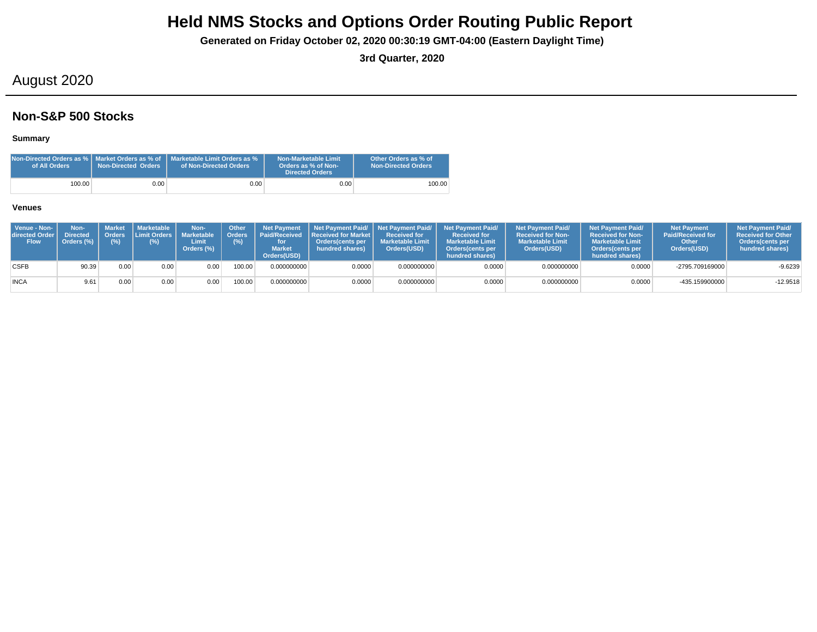**Generated on Friday October 02, 2020 00:30:19 GMT-04:00 (Eastern Daylight Time)**

**3rd Quarter, 2020**

## August 2020

### **Non-S&P 500 Stocks**

### **Summary**

| of All Orders | <b>Non-Directed Orders</b> | Non-Directed Orders as %   Market Orders as % of   Marketable Limit Orders as %<br>of Non-Directed Orders | Non-Marketable Limit<br>Orders as % of Non-<br><b>Directed Orders</b> | Other Orders as % of<br><b>Non-Directed Orders</b> |
|---------------|----------------------------|-----------------------------------------------------------------------------------------------------------|-----------------------------------------------------------------------|----------------------------------------------------|
| 100.00        | 0.00                       | 0.00 <sub>1</sub>                                                                                         | 0.00                                                                  | 100.00                                             |

| Venue - Non-<br>directed Order I<br><b>Flow</b> | Non-<br><b>Directed</b><br>Orders (%) | Orders<br>$(\%)$ | Market   Marketable<br><b>Limit Orders</b><br>$(\%)$ | Non-<br>Marketable<br>Limit<br>Orders (%) | <b>Other</b><br><b>Orders</b><br>(%) | <b>Net Payment</b><br><b>Market</b><br>Orders(USD) | Paid/Received Received for Market L<br>Orders(cents per<br>hundred shares) | <b>Received for</b><br><b>Marketable Limit</b><br>Orders(USD) | Net Payment Paid/ Net Payment Paid/ Net Payment Paid/<br><b>Received for</b><br><b>Marketable Limit</b><br><b>Orders</b> (cents per<br>hundred shares) | <b>Net Payment Paid/</b><br><b>Received for Non-</b><br><b>Marketable Limit</b><br>Orders(USD) | <b>Net Payment Paid/</b><br><b>Received for Non-</b><br><b>Marketable Limit</b><br>Orders(cents per<br>hundred shares) | <b>Net Payment</b><br><b>Paid/Received for</b><br>Other<br>Orders(USD) | <b>Net Payment Paid/</b><br><b>Received for Other</b><br>Orders (cents per<br>hundred shares) |
|-------------------------------------------------|---------------------------------------|------------------|------------------------------------------------------|-------------------------------------------|--------------------------------------|----------------------------------------------------|----------------------------------------------------------------------------|---------------------------------------------------------------|--------------------------------------------------------------------------------------------------------------------------------------------------------|------------------------------------------------------------------------------------------------|------------------------------------------------------------------------------------------------------------------------|------------------------------------------------------------------------|-----------------------------------------------------------------------------------------------|
| <b>CSFB</b>                                     | 90.39                                 | 0.00             | 0.00                                                 | 0.00                                      | 100.00                               | 0.000000000                                        | 0.0000                                                                     | 0.000000000                                                   | 0.0000                                                                                                                                                 | 0.000000000                                                                                    | 0.0000                                                                                                                 | -2795.709169000                                                        | $-9.6239$                                                                                     |
| <b>INCA</b>                                     | 9.61                                  | 0.00             | 0.00                                                 | 0.00                                      | 100.00                               | 0.000000000                                        | 0.0000                                                                     | 0.000000000                                                   | 0.0000                                                                                                                                                 | 0.000000000                                                                                    | 0.0000                                                                                                                 | -435.159900000                                                         | $-12.9518$                                                                                    |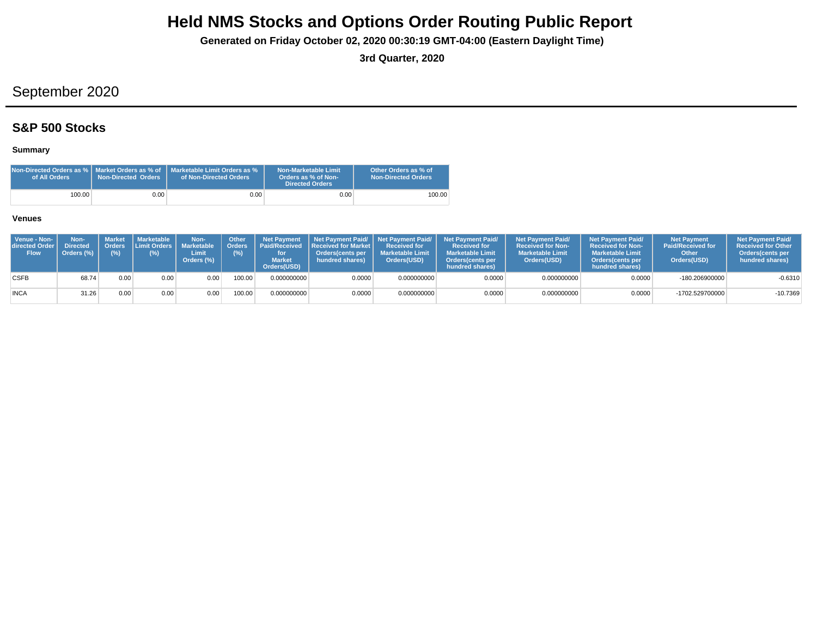**Generated on Friday October 02, 2020 00:30:19 GMT-04:00 (Eastern Daylight Time)**

**3rd Quarter, 2020**

## September 2020

### **S&P 500 Stocks**

### **Summary**

| Non-Directed Orders as $\%$   Market Orders as $\%$ of $\;$<br>of All Orders | <b>Non-Directed Orders</b> | Marketable Limit Orders as %<br>of Non-Directed Orders | Non-Marketable Limit<br>Orders as % of Non-<br><b>Directed Orders</b> | Other Orders as % of<br><b>Non-Directed Orders</b> |
|------------------------------------------------------------------------------|----------------------------|--------------------------------------------------------|-----------------------------------------------------------------------|----------------------------------------------------|
| 100.00                                                                       | 0.00                       | 0.001                                                  | 0.00                                                                  | 100.00                                             |

| Venue - Non-<br>directed Order I<br><b>Flow</b> | Non-<br><b>Directed</b><br>Orders (%) | (% ) | Market   Marketable<br>Orders Limit Orders   Marketable<br>(%) | Non-<br>Limit<br>Orders (%) | <b>Other</b><br>(%) | <b>Net Payment</b><br><b>Market</b><br>Orders(USD) | Orders   Paid/Received   Received for Market  <br><b>Orders</b> (cents per<br>hundred shares) | <b>Received for</b><br><b>Marketable Limit</b><br>Orders(USD) | Net Payment Paid/ Net Payment Paid/ Net Payment Paid/<br><b>Received for</b><br><b>Marketable Limit</b><br><b>Orders</b> (cents per<br>hundred shares) | <b>Net Payment Paid/</b><br><b>Received for Non-</b><br><b>Marketable Limit</b><br>Orders(USD) | <b>Net Payment Paid/</b><br><b>Received for Non-</b><br><b>Marketable Limit</b><br><b>Orders</b> (cents per<br>hundred shares) | <b>Net Payment</b><br><b>Paid/Received for</b><br>Other<br>Orders(USD) | <b>Net Payment Paid/</b><br><b>Received for Other</b><br><b>Orders</b> (cents per<br>hundred shares) |
|-------------------------------------------------|---------------------------------------|------|----------------------------------------------------------------|-----------------------------|---------------------|----------------------------------------------------|-----------------------------------------------------------------------------------------------|---------------------------------------------------------------|--------------------------------------------------------------------------------------------------------------------------------------------------------|------------------------------------------------------------------------------------------------|--------------------------------------------------------------------------------------------------------------------------------|------------------------------------------------------------------------|------------------------------------------------------------------------------------------------------|
| <b>CSFB</b>                                     | 68.74                                 | 0.00 | 0.00                                                           | 0.00                        | 00.00               | 0.000000000                                        | 0.0000                                                                                        | 0.000000000                                                   | 0.0000                                                                                                                                                 | 0.000000000                                                                                    | 0.0000                                                                                                                         | $-180.206900000$                                                       | $-0.6310$                                                                                            |
| <b>INCA</b>                                     | 31.26                                 | 0.00 | 0.00                                                           | 0.00                        | 00.00               | 0.000000000                                        | 0.0000                                                                                        | 0.000000000                                                   | 0.0000                                                                                                                                                 | 0.000000000                                                                                    | 0.0000                                                                                                                         | -1702.529700000                                                        | $-10.7369$                                                                                           |